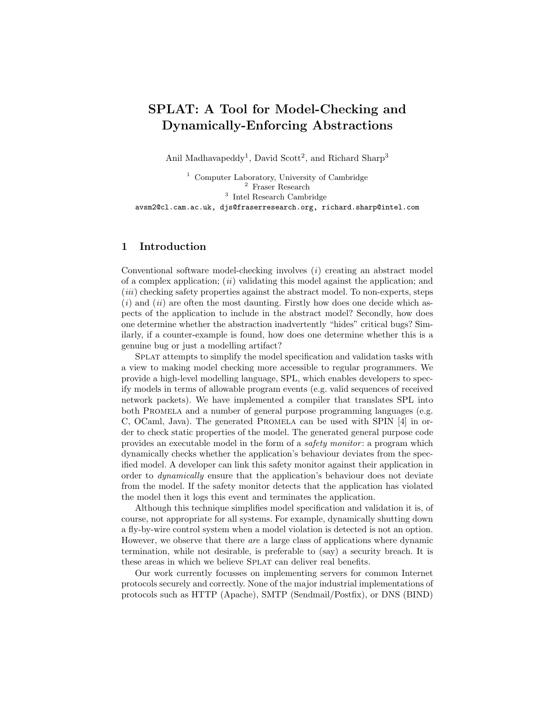# SPLAT: A Tool for Model-Checking and Dynamically-Enforcing Abstractions

Anil Madhavapeddy<sup>1</sup>, David Scott<sup>2</sup>, and Richard Sharp<sup>3</sup>

<sup>1</sup> Computer Laboratory, University of Cambridge  $^{\rm 2}$  Fraser Research 3 Intel Research Cambridge avsm2@cl.cam.ac.uk, djs@fraserresearch.org, richard.sharp@intel.com

## 1 Introduction

Conventional software model-checking involves  $(i)$  creating an abstract model of a complex application;  $(ii)$  validating this model against the application; and (*iii*) checking safety properties against the abstract model. To non-experts, steps  $(i)$  and  $(ii)$  are often the most daunting. Firstly how does one decide which aspects of the application to include in the abstract model? Secondly, how does one determine whether the abstraction inadvertently "hides" critical bugs? Similarly, if a counter-example is found, how does one determine whether this is a genuine bug or just a modelling artifact?

Splat attempts to simplify the model specification and validation tasks with a view to making model checking more accessible to regular programmers. We provide a high-level modelling language, SPL, which enables developers to specify models in terms of allowable program events (e.g. valid sequences of received network packets). We have implemented a compiler that translates SPL into both PROMELA and a number of general purpose programming languages (e.g. C, OCaml, Java). The generated PROMELA can be used with SPIN [4] in order to check static properties of the model. The generated general purpose code provides an executable model in the form of a *safety monitor*: a program which dynamically checks whether the application's behaviour deviates from the specified model. A developer can link this safety monitor against their application in order to dynamically ensure that the application's behaviour does not deviate from the model. If the safety monitor detects that the application has violated the model then it logs this event and terminates the application.

Although this technique simplifies model specification and validation it is, of course, not appropriate for all systems. For example, dynamically shutting down a fly-by-wire control system when a model violation is detected is not an option. However, we observe that there are a large class of applications where dynamic termination, while not desirable, is preferable to (say) a security breach. It is these areas in which we believe Splat can deliver real benefits.

Our work currently focusses on implementing servers for common Internet protocols securely and correctly. None of the major industrial implementations of protocols such as HTTP (Apache), SMTP (Sendmail/Postfix), or DNS (BIND)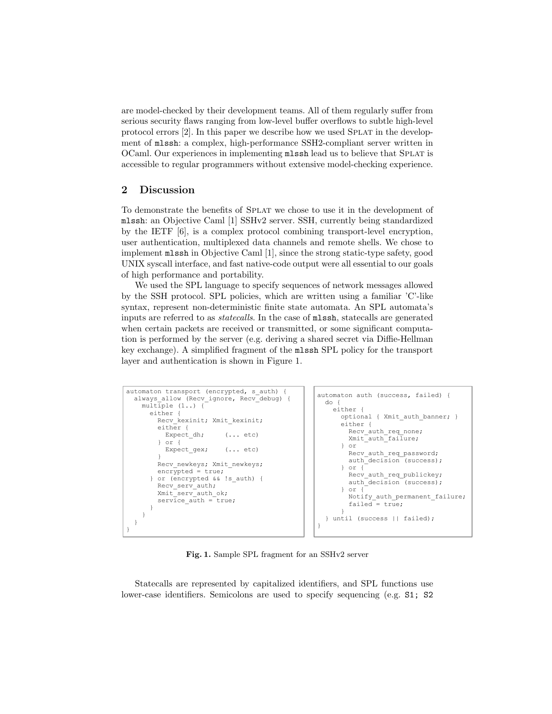are model-checked by their development teams. All of them regularly suffer from serious security flaws ranging from low-level buffer overflows to subtle high-level protocol errors  $[2]$ . In this paper we describe how we used SPLAT in the development of mlssh: a complex, high-performance SSH2-compliant server written in OCaml. Our experiences in implementing mlssh lead us to believe that SPLAT is accessible to regular programmers without extensive model-checking experience.

## 2 Discussion

To demonstrate the benefits of Splat we chose to use it in the development of mlssh: an Objective Caml [1] SSHv2 server. SSH, currently being standardized by the IETF [6], is a complex protocol combining transport-level encryption, user authentication, multiplexed data channels and remote shells. We chose to implement mlssh in Objective Caml [1], since the strong static-type safety, good UNIX syscall interface, and fast native-code output were all essential to our goals of high performance and portability.

We used the SPL language to specify sequences of network messages allowed by the SSH protocol. SPL policies, which are written using a familiar 'C'-like syntax, represent non-deterministic finite state automata. An SPL automata's inputs are referred to as statecalls. In the case of mlssh, statecalls are generated when certain packets are received or transmitted, or some significant computation is performed by the server (e.g. deriving a shared secret via Diffie-Hellman key exchange). A simplified fragment of the mlssh SPL policy for the transport layer and authentication is shown in Figure 1.

```
automaton transport (encrypted, s_auth) {
  always_allow (Recv_ignore, Recv_debug) {
     multiple (1..) {
       either {
        Recv_kexinit; Xmit_kexinit;
          either {
           Expect dh; (... etc)
          } or {
           Expect gex; (... etc)
 }
         Recv_newkeys; Xmit_newkeys;
        \overline{\text{encr}\text{ypted}} = \text{true};
         } or (encrypted && !s_auth) {
        Recv_serv_auth;
         Xmit_serv_auth_ok;
        service \overline{\text{auth}} = \text{true};
 }
    \lambda }
}
                                                       automaton auth (success, failed) {
                                                          do {
                                                            either {
                                                               optional { Xmit_auth_banner; }
                                                               either {
                                                                Recv_auth_req_none;
                                                                 Xmit_auth_failure;
                                                               } or
                                                                 Recv_auth_req_password;
                                                                auth decision (success);
                                                               } or {
                                                                 Recv_auth_req_publickey;
                                                                auth decision (success);
                                                                 } or {
                                                                 Notify_auth_permanent_failure;
                                                                failure = true; }
                                                           } until (success || failed);
                                                       }
```
Fig. 1. Sample SPL fragment for an SSHv2 server

Statecalls are represented by capitalized identifiers, and SPL functions use lower-case identifiers. Semicolons are used to specify sequencing (e.g. S1; S2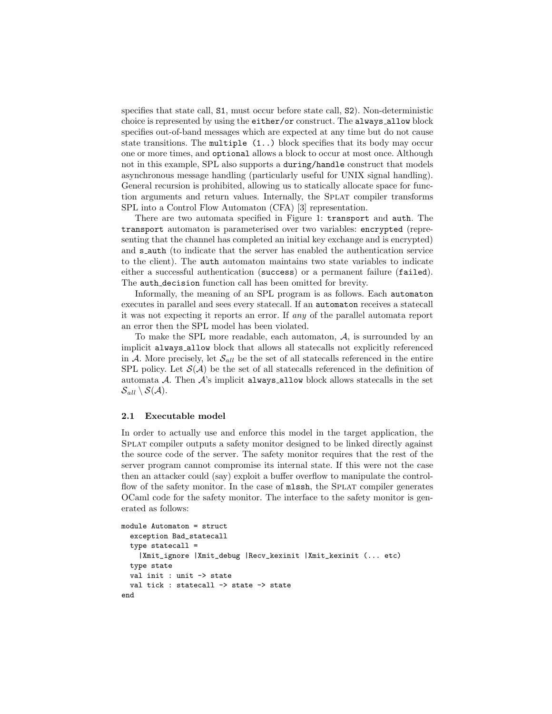specifies that state call, S1, must occur before state call, S2). Non-deterministic choice is represented by using the either/or construct. The always allow block specifies out-of-band messages which are expected at any time but do not cause state transitions. The multiple  $(1, .)$  block specifies that its body may occur one or more times, and optional allows a block to occur at most once. Although not in this example, SPL also supports a during/handle construct that models asynchronous message handling (particularly useful for UNIX signal handling). General recursion is prohibited, allowing us to statically allocate space for function arguments and return values. Internally, the Splat compiler transforms SPL into a Control Flow Automaton (CFA) [3] representation.

There are two automata specified in Figure 1: transport and auth. The transport automaton is parameterised over two variables: encrypted (representing that the channel has completed an initial key exchange and is encrypted) and s auth (to indicate that the server has enabled the authentication service to the client). The auth automaton maintains two state variables to indicate either a successful authentication (success) or a permanent failure (failed). The auth decision function call has been omitted for brevity.

Informally, the meaning of an SPL program is as follows. Each automaton executes in parallel and sees every statecall. If an automaton receives a statecall it was not expecting it reports an error. If any of the parallel automata report an error then the SPL model has been violated.

To make the SPL more readable, each automaton,  $A$ , is surrounded by an implicit always allow block that allows all statecalls not explicitly referenced in A. More precisely, let  $\mathcal{S}_{all}$  be the set of all statecalls referenced in the entire SPL policy. Let  $\mathcal{S}(\mathcal{A})$  be the set of all statecalls referenced in the definition of automata  $\mathcal{A}$ . Then  $\mathcal{A}$ 's implicit always allow block allows statecalls in the set  $\mathcal{S}_{all} \setminus \mathcal{S}(\mathcal{A}).$ 

#### 2.1 Executable model

In order to actually use and enforce this model in the target application, the Splat compiler outputs a safety monitor designed to be linked directly against the source code of the server. The safety monitor requires that the rest of the server program cannot compromise its internal state. If this were not the case then an attacker could (say) exploit a buffer overflow to manipulate the controlflow of the safety monitor. In the case of mlssh, the SPLAT compiler generates OCaml code for the safety monitor. The interface to the safety monitor is generated as follows:

```
module Automaton = struct
 exception Bad_statecall
 type statecall =
    |Xmit_ignore |Xmit_debug |Recv_kexinit |Xmit_kexinit (... etc)
 type state
 val init : unit -> state
  val tick : statecall -> state -> state
end
```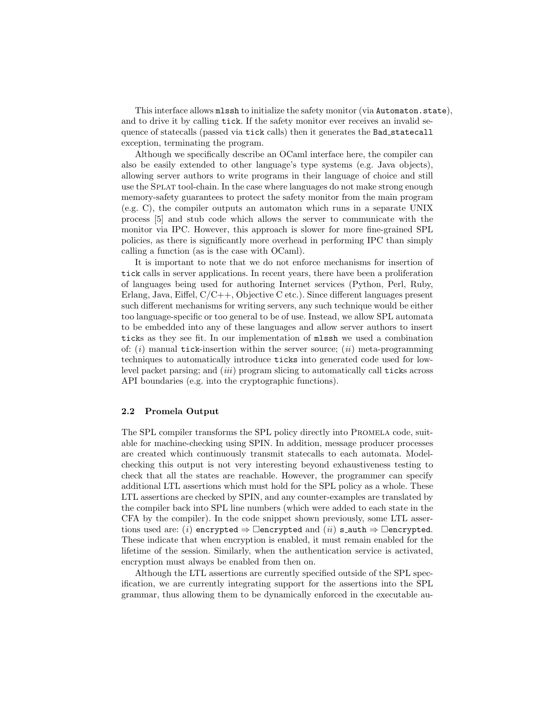This interface allows mlssh to initialize the safety monitor (via Automaton.state), and to drive it by calling tick. If the safety monitor ever receives an invalid sequence of statecalls (passed via tick calls) then it generates the Bad\_statecall exception, terminating the program.

Although we specifically describe an OCaml interface here, the compiler can also be easily extended to other language's type systems (e.g. Java objects), allowing server authors to write programs in their language of choice and still use the SPLAT tool-chain. In the case where languages do not make strong enough memory-safety guarantees to protect the safety monitor from the main program (e.g. C), the compiler outputs an automaton which runs in a separate UNIX process [5] and stub code which allows the server to communicate with the monitor via IPC. However, this approach is slower for more fine-grained SPL policies, as there is significantly more overhead in performing IPC than simply calling a function (as is the case with OCaml).

It is important to note that we do not enforce mechanisms for insertion of tick calls in server applications. In recent years, there have been a proliferation of languages being used for authoring Internet services (Python, Perl, Ruby, Erlang, Java, Eiffel, C/C++, Objective C etc.). Since different languages present such different mechanisms for writing servers, any such technique would be either too language-specific or too general to be of use. Instead, we allow SPL automata to be embedded into any of these languages and allow server authors to insert ticks as they see fit. In our implementation of mlssh we used a combination of:  $(i)$  manual tick-insertion within the server source;  $(ii)$  meta-programming techniques to automatically introduce ticks into generated code used for lowlevel packet parsing; and *(iii)* program slicing to automatically call ticks across API boundaries (e.g. into the cryptographic functions).

### 2.2 Promela Output

The SPL compiler transforms the SPL policy directly into Promela code, suitable for machine-checking using SPIN. In addition, message producer processes are created which continuously transmit statecalls to each automata. Modelchecking this output is not very interesting beyond exhaustiveness testing to check that all the states are reachable. However, the programmer can specify additional LTL assertions which must hold for the SPL policy as a whole. These LTL assertions are checked by SPIN, and any counter-examples are translated by the compiler back into SPL line numbers (which were added to each state in the CFA by the compiler). In the code snippet shown previously, some LTL assertions used are: (i) encrypted  $\Rightarrow$   $\Box$ encrypted and (ii) s\_auth  $\Rightarrow$   $\Box$ encrypted. These indicate that when encryption is enabled, it must remain enabled for the lifetime of the session. Similarly, when the authentication service is activated, encryption must always be enabled from then on.

Although the LTL assertions are currently specified outside of the SPL specification, we are currently integrating support for the assertions into the SPL grammar, thus allowing them to be dynamically enforced in the executable au